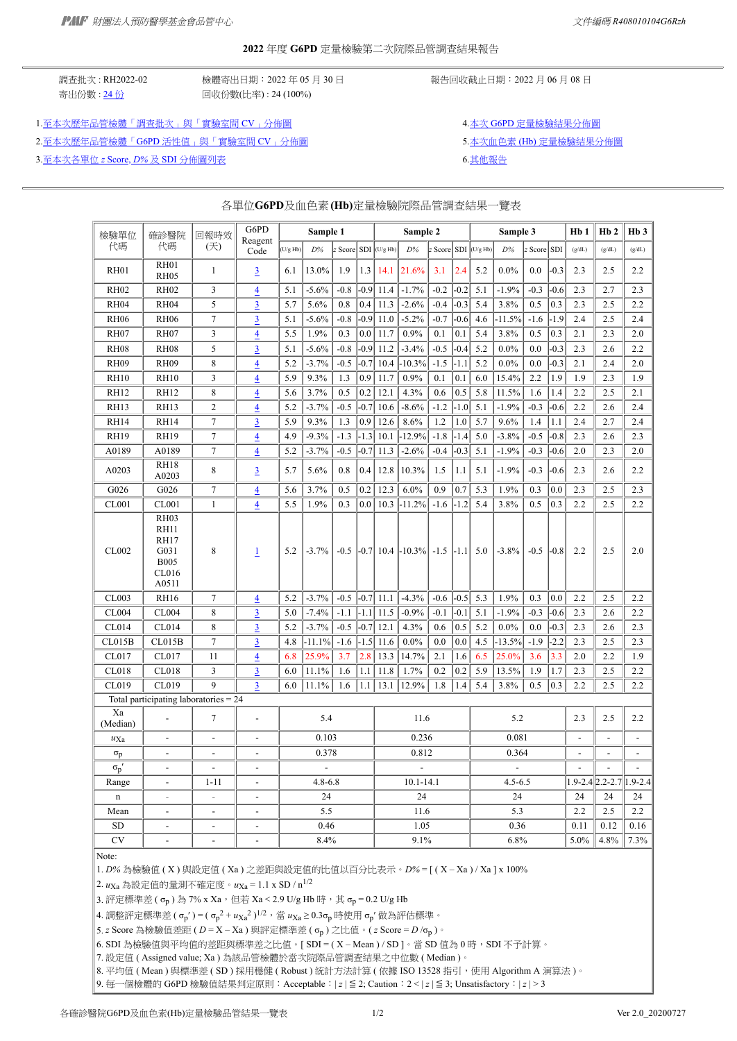#### **2022** 年度 **G6PD** 定量檢驗第二次院際品管調查結果報告

寄出份數 : [24](https://g6pd.qap.tw/MIS/RHdataAlgA2020.php?BatchNo=RH2022-02&ParticipatingLab=1) 份 回收份數(比率) : 24 (100%)

調査批次 : RH2022-02 <br>※ 機器由于: 機器名出日期: 2022 年 05 月 30 日 <br>※ 報告回收截止日期: 2022 月 06 月 08 日

1.[至本次歷年品管檢體「調查批次」與「實驗室間](https://g6pd.qap.tw/MIS/Diagram_CV_Summary.php?DiagramType=CV&FromBatchNo=RH2019-03&ToBatchNo=RH2022-02&ShowLast=1) CV」分佈圖 4.本文 G6PD [定量檢驗結果分佈圖](https://g6pd.qap.tw/MIS/RH202202g6pd.gif)

2.[至本次歷年品管檢體「](https://g6pd.qap.tw/MIS/Diagram_CV_Summary.php?DiagramType=CV_Conc&FromBatchNo=RH2019-03&ToBatchNo=RH2022-02&ShowLast=1)G6PD 活性值」與「實驗室間 CV」分佈圖 第2000年第2000年第2000年第2000年第2000年第2000年第2000年第201

3.[至本次各單位](https://g6pd.qap.tw/MIS/Diagram_Zscore_Summary.php?FromBatchNo=RH2019-03&ToBatchNo=RH2022-02&ShowLast=1) *[z](https://g6pd.qap.tw/MIS/Diagram_Zscore_Summary.php?FromBatchNo=RH2019-03&ToBatchNo=RH2022-02&ShowLast=1)* [Score,](https://g6pd.qap.tw/MIS/Diagram_Zscore_Summary.php?FromBatchNo=RH2019-03&ToBatchNo=RH2022-02&ShowLast=1) *[D%](https://g6pd.qap.tw/MIS/Diagram_Zscore_Summary.php?FromBatchNo=RH2019-03&ToBatchNo=RH2022-02&ShowLast=1)* 及 SDI [分佈圖列表](https://g6pd.qap.tw/MIS/Diagram_Zscore_Summary.php?FromBatchNo=RH2019-03&ToBatchNo=RH2022-02&ShowLast=1) 6.[其他報告](https://g6pd.qap.tw/MIS/RH202202Others.htm)

各單位**G6PD**及血色素**(Hb)**定量檢驗院際品管調查結果一覽表

| 檢驗單位             | 確診醫院                                                                               | 回報時效           | G6PD                     | Sample 1 |                |        | Sample 2 |                |               | Sample 3               |          |     |             | Hb1       | Hb <sub>2</sub> | H <sub>b</sub> 3         |                         |                          |
|------------------|------------------------------------------------------------------------------------|----------------|--------------------------|----------|----------------|--------|----------|----------------|---------------|------------------------|----------|-----|-------------|-----------|-----------------|--------------------------|-------------------------|--------------------------|
| 代碼               | 代碼                                                                                 | (天)            | Reagent<br>Code          | (U/g Hb) | D%             | Score  |          | $SDI$ (U/g Hb) | D%            | $z$ Score SDI (U/g Hb) |          |     | D%          | Score SDI |                 | (g/dL)                   | (g/dL)                  | (g/dL)                   |
| <b>RH01</b>      | RH01                                                                               | $\mathbf{1}$   | $\overline{3}$           | 6.1      | 13.0%          | 1.9    | 1.3      | 14.1           | 21.6%         | 3.1                    | 2.4      | 5.2 | 0.0%        | 0.0       | $-0.3$          | 2.3                      | 2.5                     | 2.2                      |
|                  | RH <sub>05</sub>                                                                   |                |                          |          |                |        |          |                |               |                        |          |     |             |           |                 |                          |                         |                          |
| <b>RH02</b>      | <b>RH02</b>                                                                        | 3              | $\overline{4}$           | 5.1      | $-5.6%$        | $-0.8$ | $-0.9$   | 11.4           | $-1.7%$       | $-0.2$                 | $-0.2$   | 5.1 | $-1.9%$     | $-0.3$    | $-0.6$          | 2.3                      | 2.7                     | 2.3                      |
| RH <sub>04</sub> | RH <sub>04</sub>                                                                   | 5              | $\overline{3}$           | 5.7      | 5.6%           | 0.8    | 0.4      | 11.3           | $-2.6%$       | $-0.4$                 | 0.3      | 5.4 | 3.8%        | 0.5       | 0.3             | 2.3                      | 2.5                     | 2.2                      |
| <b>RH06</b>      | <b>RH06</b>                                                                        | $\tau$         | $\overline{3}$           | 5.1      | $-5.6\%$       | $-0.8$ | $-0.9$   | 11.0           | $-5.2%$       | $-0.7$                 | $-0.6$   | 4.6 | $-11.5%$    | $-1.6$    | $-1.9$          | 2.4                      | 2.5                     | 2.4                      |
| <b>RH07</b>      | RH <sub>07</sub>                                                                   | 3              | $\overline{4}$           | 5.5      | 1.9%           | 0.3    | 0.0      | 11.7           | 0.9%          | 0.1                    | 0.1      | 5.4 | 3.8%        | 0.5       | 0.3             | 2.1                      | 2.3                     | 2.0                      |
| <b>RH08</b>      | <b>RH08</b>                                                                        | 5              | $\overline{3}$           | 5.1      | $-5.6%$        | $-0.8$ | $-0.9$   | 11.2           | $-3.4%$       | $-0.5$                 | $-0.4$   | 5.2 | 0.0%        | 0.0       | $-0.3$          | 2.3                      | 2.6                     | 2.2                      |
| <b>RH09</b>      | <b>RH09</b>                                                                        | 8              | $\overline{\mathbf{4}}$  | 5.2      | $-3.7%$        | $-0.5$ | $-0.7$   | 10.4           | $-10.3%$      | $-1.5$                 | $-1.1$   | 5.2 | $0.0\%$     | 0.0       | $-0.3$          | 2.1                      | 2.4                     | 2.0                      |
| <b>RH10</b>      | <b>RH10</b>                                                                        | 3              | $\overline{4}$           | 5.9      | 9.3%           | 1.3    | 0.9      | 11.7           | 0.9%          | 0.1                    | 0.1      | 6.0 | 15.4%       | 2.2       | 1.9             | 1.9                      | 2.3                     | 1.9                      |
| <b>RH12</b>      | <b>RH12</b>                                                                        | 8              | $\overline{\mathbf{4}}$  | 5.6      | 3.7%           | 0.5    | 0.2      | 12.1           | 4.3%          | 0.6                    | 0.5      | 5.8 | 11.5%       | 1.6       | 1.4             | 2.2                      | 2.5                     | 2.1                      |
| <b>RH13</b>      | <b>RH13</b>                                                                        | $\overline{2}$ | $\overline{4}$           | 5.2      | $-3.7%$        | $-0.5$ | $-0.7$   | 10.6           | $-8.6%$       | $-1.2$                 | $-1.0$   | 5.1 | $-1.9%$     | $-0.3$    | $-0.6$          | 2.2                      | 2.6                     | 2.4                      |
| <b>RH14</b>      | <b>RH14</b>                                                                        | $\tau$         | $\overline{3}$           | 5.9      | 9.3%           | 1.3    | 0.9      | 12.6           | 8.6%          | 1.2                    | 1.0      | 5.7 | 9.6%        | 1.4       | 1.1             | 2.4                      | 2.7                     | 2.4                      |
| <b>RH19</b>      | <b>RH19</b>                                                                        | $\tau$         | $\overline{\mathbf{4}}$  | 4.9      | $-9.3%$        | $-1.3$ | $-1.3$   | 10.1           | $-12.9%$      | $-1.8$                 | $-1.4$   | 5.0 | $-3.8%$     | $-0.5$    | $-0.8$          | 2.3                      | 2.6                     | 2.3                      |
| A0189            | A0189                                                                              | 7              | 4                        | 5.2      | $-3.7%$        | $-0.5$ | $-0.7$   | 11.3           | $-2.6%$       | $-0.4$                 | $-0.3$   | 5.1 | $-1.9%$     | $-0.3$    | $-0.6$          | 2.0                      | 2.3                     | 2.0                      |
| A0203            | <b>RH18</b><br>A0203                                                               | 8              | $\overline{3}$           | 5.7      | 5.6%           | 0.8    | 0.4      | 12.8           | 10.3%         | 1.5                    | 1.1      | 5.1 | $-1.9%$     | $-0.3$    | $-0.6$          | 2.3                      | 2.6                     | 2.2                      |
| G026             | G026                                                                               | $\overline{7}$ | $\overline{4}$           | 5.6      | 3.7%           | 0.5    | 0.2      | 12.3           | 6.0%          | 0.9                    | 0.7      | 5.3 | 1.9%        | 0.3       | 0.0             | 2.3                      | 2.5                     | 2.3                      |
| <b>CL001</b>     | <b>CL001</b>                                                                       | $\mathbf{1}$   | $\overline{\mathbf{4}}$  | 5.5      | 1.9%           | 0.3    | 0.0      | 10.3           | $-11.2%$      | $-1.6$                 | $-1.2$   | 5.4 | 3.8%        | 0.5       | 0.3             | 2.2                      | 2.5                     | 2.2                      |
| CL002            | <b>RH03</b><br><b>RH11</b><br><b>RH17</b><br>G031<br><b>B005</b><br>CL016<br>A0511 | 8              | $\mathbf{1}$             | 5.2      | $-3.7%$        | $-0.5$ | $-0.7$   |                | $10.4$ -10.3% | $-1.5$                 | $  -1.1$ | 5.0 | $-3.8%$     | $-0.5$    | $-0.8$          | 2.2                      | 2.5                     | 2.0                      |
| CL003            | <b>RH16</b>                                                                        | $\tau$         | $\overline{4}$           | 5.2      | $-3.7%$        | $-0.5$ | $-0.7$   | 11.1           | $-4.3%$       | $-0.6$                 | $-0.5$   | 5.3 | 1.9%        | 0.3       | 0.0             | 2.2                      | 2.5                     | 2.2                      |
| CL004            | <b>CL004</b>                                                                       | 8              | $\overline{3}$           | 5.0      | $-7.4%$        | $-1.1$ | $-1.1$   | 11.5           | $-0.9%$       | $-0.1$                 | $-0.1$   | 5.1 | $-1.9%$     | $-0.3$    | $-0.6$          | 2.3                      | 2.6                     | 2.2                      |
| CL014            | CL014                                                                              | 8              | $\overline{3}$           | 5.2      | $-3.7%$        | $-0.5$ | $-0.7$   | 12.1           | 4.3%          | 0.6                    | 0.5      | 5.2 | 0.0%        | 0.0       | $-0.3$          | 2.3                      | 2.6                     | 2.3                      |
| CL015B           | CL015B                                                                             | $\tau$         | $\overline{3}$           | 4.8      | $-11.1%$       | $-1.6$ | $-1.5$   | 11.6           | 0.0%          | 0.0                    | 0.0      | 4.5 | $-13.5%$    | $-1.9$    | $-2.2$          | 2.3                      | 2.5                     | 2.3                      |
| CL017            | CL017                                                                              | 11             | $\overline{4}$           | 6.8      | 25.9%          | 3.7    | 2.8      | 13.3           | 14.7%         | 2.1                    | 1.6      | 6.5 | 25.0%       | 3.6       | 3.3             | 2.0                      | 2.2                     | 1.9                      |
| CL018            | <b>CL018</b>                                                                       | $\overline{3}$ | 3                        | 6.0      | 11.1%          | 1.6    | 1.1      | 11.8           | 1.7%          | 0.2                    | 0.2      | 5.9 | 13.5%       | 1.9       | 1.7             | 2.3                      | 2.5                     | 2.2                      |
| CL019            | CL019                                                                              | 9              | 3                        | 6.0      | 11.1%          | 1.6    | 1.1      | 13.1           | 12.9%         | 1.8                    | 1.4      | 5.4 | 3.8%        | 0.5       | 0.3             | 2.2                      | 2.5                     | 2.2                      |
|                  | Total participating laboratories $= 24$                                            |                |                          |          |                |        |          |                |               |                        |          |     |             |           |                 |                          |                         |                          |
| Xa<br>(Median)   |                                                                                    | $\tau$         | $\overline{\phantom{a}}$ |          | 5.4            |        |          |                | 11.6          |                        |          |     | 5.2         |           |                 | 2.3                      | 2.5                     | 2.2                      |
| $u_{\text{Xa}}$  |                                                                                    | $\overline{a}$ | $\overline{\phantom{a}}$ |          | 0.103          |        |          |                | 0.236         |                        |          |     | 0.081       |           |                 | $\overline{\phantom{a}}$ |                         | $\overline{\phantom{a}}$ |
| $\sigma_{\rm p}$ | $\overline{a}$                                                                     | $\frac{1}{2}$  | $\overline{a}$           |          | 0.378          |        |          |                | 0.812         |                        |          |     | 0.364       |           |                 | $\overline{a}$           | $\frac{1}{2}$           | $\overline{\phantom{a}}$ |
| $\sigma_p'$      | $\overline{\phantom{a}}$                                                           | ÷,             | $\overline{a}$           |          | $\overline{a}$ |        |          |                |               |                        |          |     |             |           |                 |                          |                         |                          |
| Range            | $\overline{a}$                                                                     | $1 - 11$       | $\overline{a}$           |          | $4.8 - 6.8$    |        |          |                | $10.1 - 14.1$ |                        |          |     | $4.5 - 6.5$ |           |                 |                          | 1.9-2.4 2.2-2.7 1.9-2.4 |                          |
| $\mathbf n$      | $\overline{\phantom{a}}$                                                           | $\overline{a}$ |                          |          | 24             |        |          |                | 24            |                        |          |     | 24          |           |                 | 24                       | 24                      | 24                       |
| Mean             | $\frac{1}{2}$                                                                      | $\frac{1}{2}$  | L,                       |          | 5.5            |        |          |                | 11.6          |                        |          |     | 5.3         |           |                 | 2.2                      | 2.5                     | 2.2                      |
| ${\rm SD}$       | $\overline{a}$                                                                     | $\overline{a}$ | $\overline{a}$           |          | 0.46           |        |          |                | 1.05          |                        |          |     | 0.36        |           |                 | 0.11                     | 0.12                    | 0.16                     |
| <b>CV</b>        |                                                                                    |                |                          |          | 8.4%           |        |          |                | 9.1%          |                        |          |     | 6.8%        |           |                 | 5.0%                     | 4.8%                    | 7.3%                     |
| $N$ ote:         |                                                                                    |                |                          |          |                |        |          |                |               |                        |          |     |             |           |                 |                          |                         |                          |

Note:

1. *D%* 為檢驗值 ( X ) 與設定值 ( Xa ) 之差距與設定值的比值以百分比表示。*D%* = [ ( X – Xa ) / Xa ] x 100%

2. *u*Xa 為設定值的量測不確定度。*u*Xa = 1.1 x SD / n1/2

3. 評定標準差 ( σ<sub>p</sub> ) 為 7% x Xa, 但若 Xa < 2.9 U/g Hb 時, 其 σ<sub>p</sub> = 0.2 U/g Hb

4. 調整評定標準差 ( σ<sub>p</sub>′ ) = ( σ<sub>p</sub><sup>2</sup> +  $u_{\mathrm{Xa}}$ <sup>2</sup> ) <sup>1/2</sup>,當  $u_{\mathrm{Xa}}$  ≥ 0.3σ<sub>p</sub> 時使用 σ<sub>p</sub>′ 做為評估標準。

5. *z* Score 為檢驗值差距 ( *D* = X – Xa ) 與評定標準差 ( σp ) 之比值。( *z* Score = *D* /σp )。

6. SDI 為檢驗值與平均值的差距與標準差之比值。[SDI =  $(X - Mean) / SD$ ]。當 SD 值為 0 時, SDI 不予計算。

7. 設定值 ( Assigned value; Xa ) 為該品管檢體於當次院際品管調查結果之中位數 ( Median )。

8. 平均值 ( Mean ) 與標準差 ( SD ) 採用穩健 ( Robust ) 統計方法計算 ( 依據 ISO 13528 指引, 使用 Algorithm A 演算法) 。

9. 每一個檢體的 G6PD 檢驗值結果判定原則:Acceptable:| *z* | ≦ 2; Caution:2 < | *z* | ≦ 3; Unsatisfactory:| *z* | > 3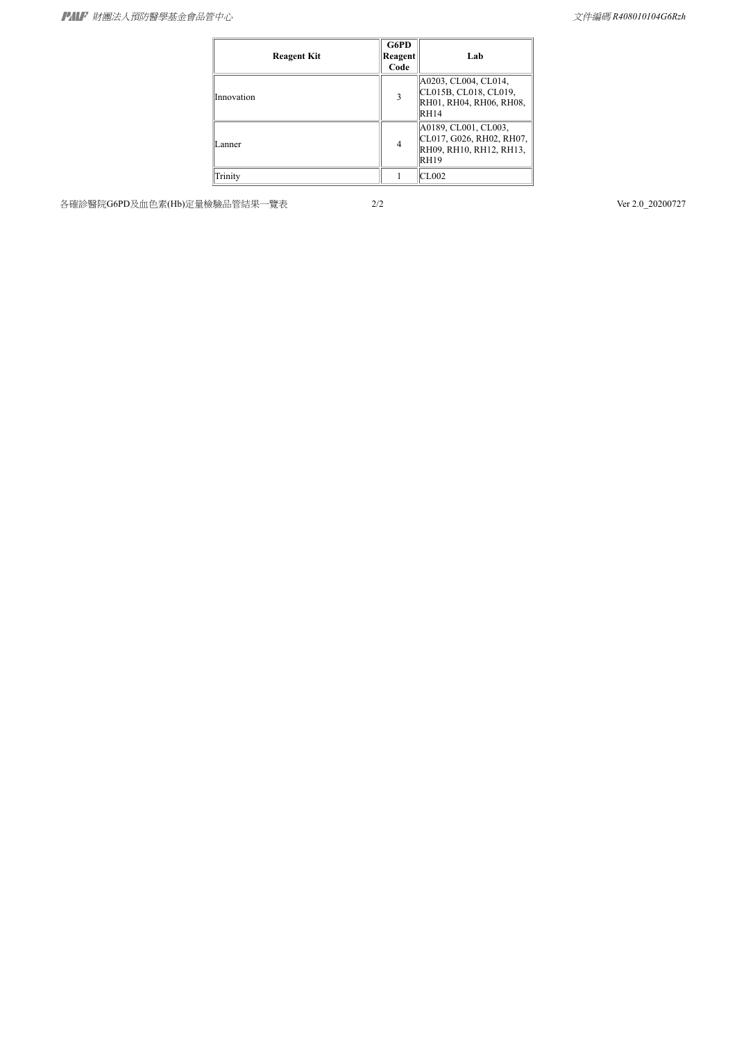| <b>Reagent Kit</b> | G6PD<br>Reagent<br>Code | Lab                                                                                     |
|--------------------|-------------------------|-----------------------------------------------------------------------------------------|
| Innovation         | 3                       | A0203, CL004, CL014,<br>CL015B, CL018, CL019,<br>RH01, RH04, RH06, RH08,<br><b>RH14</b> |
| Lanner             | 4                       | A0189, CL001, CL003,<br>CL017, G026, RH02, RH07,<br>RH09, RH10, RH12, RH13,<br>RH19     |
| Trinity            |                         | CL002                                                                                   |

各確診醫院G6PD及血色素(Hb)定量檢驗品管結果一覽表 2/2 Ver 2.0\_20200727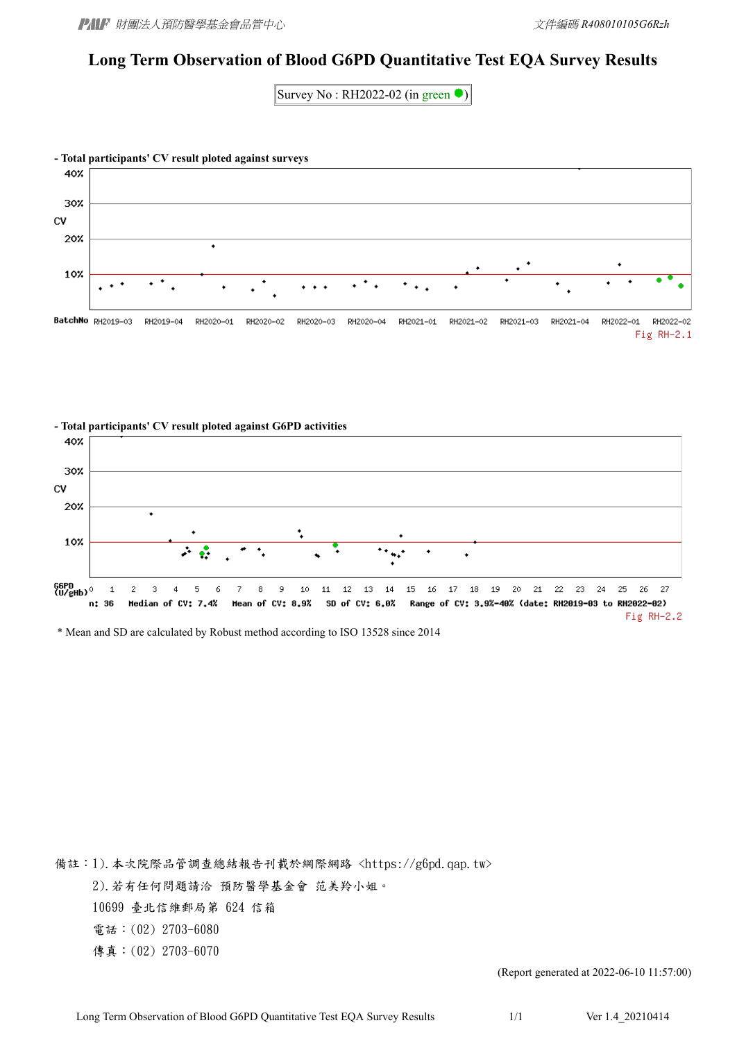#### **Long Term Observation of Blood G6PD Quantitative Test EQA Survey Results**

Survey No: RH2022-02 (in green  $\bullet$ )





\* Mean and SD are calculated by Robust method according to ISO 13528 since 2014

備註:1).本次院際品管調查總結報告刊載於網際網路 <https://g6pd.qap.tw> 2).若有任何問題請洽 預防醫學基金會 范美羚小姐。 10699 臺北信維郵局第 624 信箱 電話:(02) 2703-6080 傳真:(02) 2703-6070

(Report generated at 2022-06-10 11:57:00)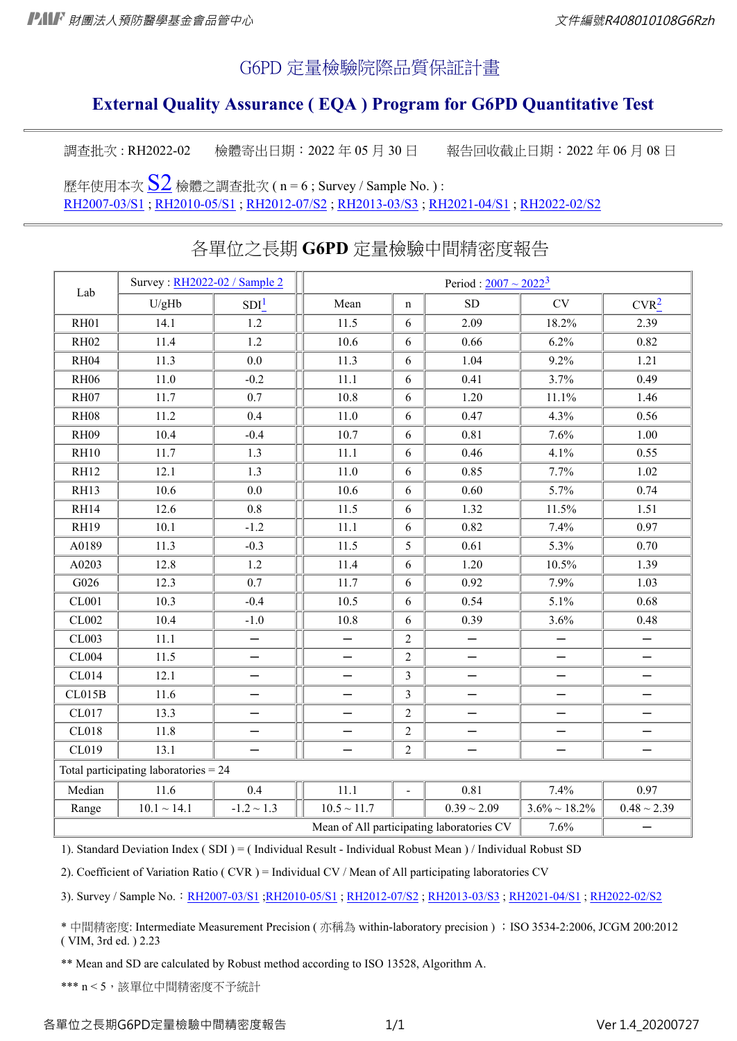### G6PD 定量檢驗院際品質保証計畫

## **External Quality Assurance ( EQA ) Program for G6PD Quantitative Test**

調查批次: RH2022-02 檢體寄出日期: 2022年 05月 30日 報告回收截止日期: 2022年 06月 08日

歷年使用本次 $\underline{S2}$  $\underline{S2}$  $\underline{S2}$  檢體之調查批次 ( n = 6 ; Survey / Sample No. ) : [RH2007-03/S1](https://g6pd.qap.tw/RHdata.php?BatchNo=RH2007-03) ; [RH2010-05/S1](https://g6pd.qap.tw/RHdata.php?BatchNo=RH2010-05) ; [RH2012-07/S2](https://g6pd.qap.tw/RHdata.php?BatchNo=RH2012-07) ; [RH2013-03/S3](https://g6pd.qap.tw/RHdata.php?BatchNo=RH2013-03) ; [RH2021-04/S1](https://g6pd.qap.tw/RHdataAlgA2020.php?BatchNo=RH2021-04) ; [RH2022-02/S2](https://g6pd.qap.tw/RHdataAlgA2020.php?BatchNo=RH2022-02)

| Lab                                               | Survey: RH2022-02 / Sample 2            | Period : $2007 \sim 2022^3$ |                          |                |                          |                          |                          |  |
|---------------------------------------------------|-----------------------------------------|-----------------------------|--------------------------|----------------|--------------------------|--------------------------|--------------------------|--|
|                                                   | U/gHb                                   | SDI <sup>1</sup>            | Mean                     | $\mathbf n$    | SD                       | CV                       | CVR <sup>2</sup>         |  |
| RH01                                              | 14.1                                    | 1.2                         | 11.5                     | 6              | 2.09                     | 18.2%                    | 2.39                     |  |
| <b>RH02</b>                                       | 11.4                                    | $1.2\,$                     | 10.6                     | 6              | 0.66                     | 6.2%                     | 0.82                     |  |
| RH <sub>04</sub>                                  | 11.3                                    | 0.0                         | 11.3                     | 6              | 1.04                     | 9.2%                     | 1.21                     |  |
| <b>RH06</b>                                       | $11.0\,$                                | $-0.2$                      | 11.1                     | 6              | 0.41                     | 3.7%                     | 0.49                     |  |
| RH07                                              | 11.7                                    | 0.7                         | 10.8                     | 6              | 1.20                     | 11.1%                    | 1.46                     |  |
| <b>RH08</b>                                       | 11.2                                    | 0.4                         | 11.0                     | 6              | 0.47                     | 4.3%                     | 0.56                     |  |
| <b>RH09</b>                                       | 10.4                                    | $-0.4$                      | 10.7                     | 6              | 0.81                     | 7.6%                     | 1.00                     |  |
| <b>RH10</b>                                       | 11.7                                    | 1.3                         | 11.1                     | 6              | 0.46                     | 4.1%                     | 0.55                     |  |
| <b>RH12</b>                                       | 12.1                                    | 1.3                         | 11.0                     | 6              | 0.85                     | 7.7%                     | 1.02                     |  |
| RH13                                              | 10.6                                    | 0.0                         | 10.6                     | 6              | 0.60                     | 5.7%                     | 0.74                     |  |
| RH14                                              | 12.6                                    | 0.8                         | 11.5                     | 6              | 1.32                     | 11.5%                    | 1.51                     |  |
| <b>RH19</b>                                       | 10.1                                    | $-1.2$                      | $11.1\,$                 | 6              | 0.82                     | 7.4%                     | 0.97                     |  |
| A0189                                             | 11.3                                    | $-0.3$                      | 11.5                     | 5              | 0.61                     | 5.3%                     | 0.70                     |  |
| A0203                                             | 12.8                                    | 1.2                         | 11.4                     | 6              | 1.20                     | 10.5%                    | 1.39                     |  |
| G026                                              | 12.3                                    | 0.7                         | 11.7                     | 6              | 0.92                     | 7.9%                     | 1.03                     |  |
| <b>CL001</b>                                      | 10.3                                    | $-0.4$                      | 10.5                     | 6              | 0.54                     | 5.1%                     | 0.68                     |  |
| <b>CL002</b>                                      | 10.4                                    | $-1.0$                      | 10.8                     | 6              | 0.39                     | 3.6%                     | 0.48                     |  |
| <b>CL003</b>                                      | 11.1                                    |                             |                          | $\overline{2}$ |                          |                          |                          |  |
| CL004                                             | 11.5                                    | —                           | —                        | $\overline{2}$ | $\overline{\phantom{0}}$ | $\overline{\phantom{0}}$ | $\overline{\phantom{0}}$ |  |
| CL014                                             | 12.1                                    |                             |                          | $\mathfrak{Z}$ |                          |                          |                          |  |
| CL015B                                            | 11.6                                    |                             | —                        | $\overline{3}$ |                          |                          | —                        |  |
| CL017                                             | 13.3                                    |                             |                          | $\overline{2}$ |                          |                          |                          |  |
| <b>CL018</b>                                      | 11.8                                    |                             |                          | $\overline{2}$ |                          | —                        |                          |  |
| CL019                                             | 13.1                                    | $\overline{\phantom{0}}$    | $\overline{\phantom{0}}$ | $\overline{2}$ |                          |                          | $\overline{\phantom{0}}$ |  |
|                                                   | Total participating laboratories $= 24$ |                             |                          |                |                          |                          |                          |  |
| Median                                            | 11.6                                    | 0.4                         | 11.1                     | $\overline{a}$ | 0.81                     | 7.4%                     | 0.97                     |  |
| Range                                             | $10.1 \sim 14.1$                        | $-1.2 \sim 1.3$             | $10.5 \sim 11.7$         |                | $0.39 \sim 2.09$         | $3.6\% \sim 18.2\%$      | $0.48 \sim 2.39$         |  |
| 7.6%<br>Mean of All participating laboratories CV |                                         |                             |                          |                |                          |                          |                          |  |

## 各單位之長期 **G6PD** 定量檢驗中間精密度報告

1). Standard Deviation Index ( SDI ) = ( Individual Result - Individual Robust Mean ) / Individual Robust SD

2). Coefficient of Variation Ratio ( CVR ) = Individual CV / Mean of All participating laboratories CV

3). Survey / Sample No.: [RH2007-03/S1](https://g6pd.qap.tw/RHdata.php?BatchNo=RH2007-03) [;RH2010-05/S1](https://g6pd.qap.tw/RHdata.php?BatchNo=RH2010-05) ; [RH2012-07/S2](https://g6pd.qap.tw/RHdata.php?BatchNo=RH2012-07) ; [RH2013-03/S3](https://g6pd.qap.tw/RHdata.php?BatchNo=RH2013-03) ; [RH2021-04/S1](https://g6pd.qap.tw/RHdataAlgA2020.php?BatchNo=RH2021-04) ; [RH2022-02/S2](https://g6pd.qap.tw/RHdataAlgA2020.php?BatchNo=RH2022-02)

\* 中間精密度: Intermediate Measurement Precision ( 亦稱為 within-laboratory precision ) ;ISO 3534-2:2006, JCGM 200:2012 ( VIM, 3rd ed. ) 2.23

\*\* Mean and SD are calculated by Robust method according to ISO 13528, Algorithm A.

\*\*\* n < 5, 該單位中間精密度不予統計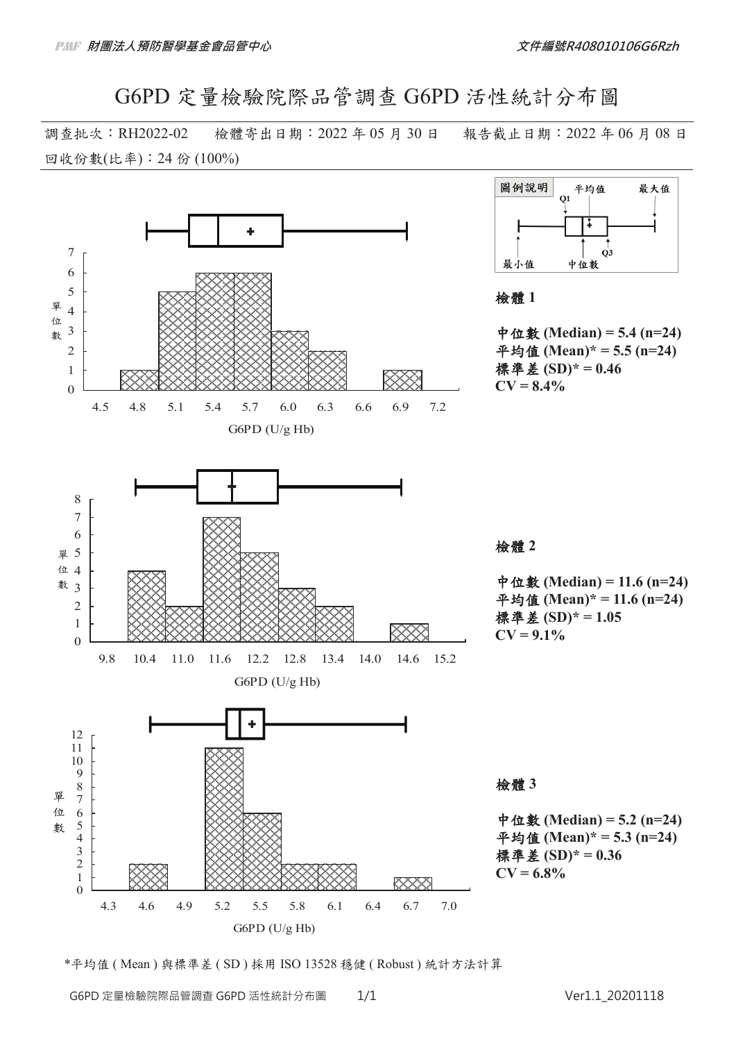G6PD 定量檢驗院際品管調查 G6PD 活性統計分布圖

調查批次:RH2022-02 檢體寄出日期:2022 年 05 月 30 日 報告截止日期:2022 年 06 月 08 日 回收份數(比率): 24 份 (100%)





中位數 (Median) = 5.4 (n=24) ѳ֡ॶ **(Mean)\* = 5.5 (n=24)** ྗৡ **(SD)\* = 0.46**

中位數 (Median) = 11.6 (n=24) ѳ֡ॶ **(Mean)\* = 11.6 (n=24)** ྗৡ **(SD)\* = 1.05**

中位數 (Median) = 5.2 (n=24) ѳ֡ॶ **(Mean)\* = 5.3 (n=24)** ྗৡ **(SD)\* = 0.36** 

\*平均值 ( Mean ) 與標準差 ( SD ) 採用 ISO 13528 穩健 ( Robust ) 統計方法計算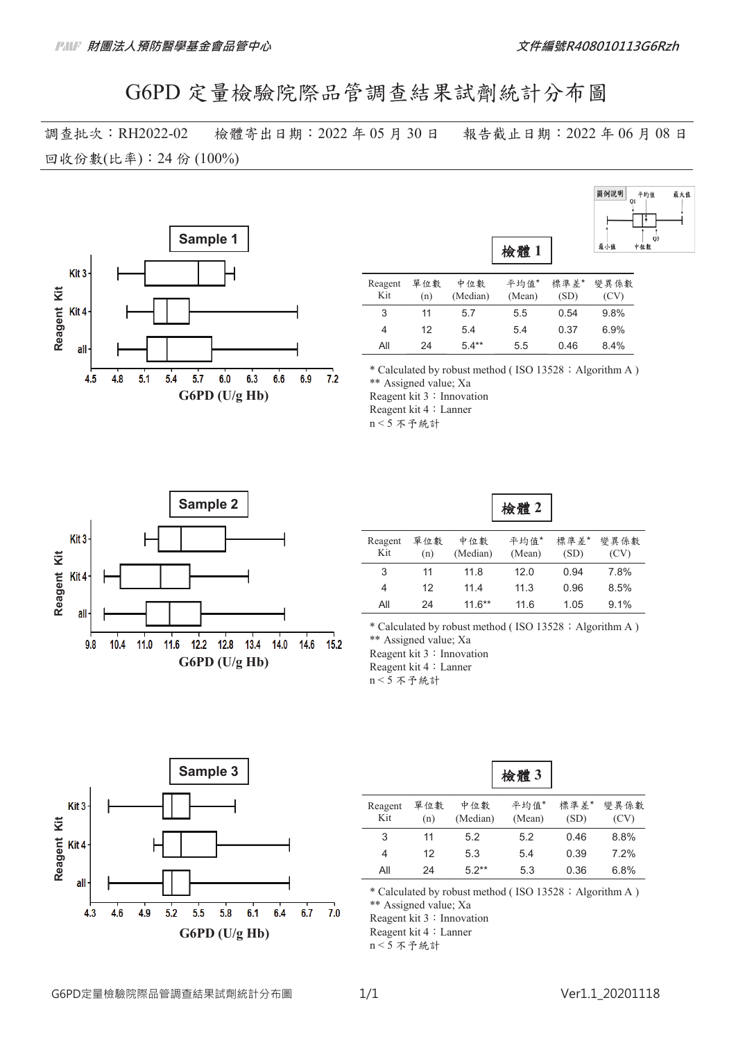# G6PD 定量檢驗院際品管調查結果試劑統計分布圖

調查批次:RH2022-02 檢體寄出日期:2022 年 05 月 30 日 報告截止日期:2022 年 06 月 08 日 回收份數(比率): 24 份 (100%)



| 圖例說明 | 平均值       | 最大值 |
|------|-----------|-----|
|      | Q1        |     |
|      |           |     |
|      |           |     |
| 最小值  | Q3<br>中位數 |     |

| Reagent<br>Kit | 單位數<br>(n) | 中位數<br>(Median) | 平均值*<br>(Mean) | 標準差*<br>(SD) | 變異係數<br>(CV) |
|----------------|------------|-----------------|----------------|--------------|--------------|
| 3              | 11         | 5.7             | 5.5            | 0.54         | 9.8%         |
| 4              | 12         | 5.4             | 54             | 0.37         | 6.9%         |
| Αll            | 24         | $5.4***$        | 5.5            | 0.46         | 84%          |

\* Calculated by robust method (ISO 13528; Algorithm A) \*\* Assigned value; Xa Reagent kit 3: Innovation

Reagent kit 4: Lanner

 $n < 5$  不予統計



| 1双 頂き |  |
|-------|--|
|-------|--|

| Reagent<br>Kit | 單位數<br>(n) | 中位數<br>(Median) | 平均值*<br>(Mean) | 標準差*<br>(SD) | 變異係數<br>(CV) |
|----------------|------------|-----------------|----------------|--------------|--------------|
| 3              | 11         | 11.8            | 12.0           | 0.94         | 7.8%         |
| 4              | 12         | 11.4            | 11.3           | 0.96         | 8.5%         |
| All            | 24         | $11.6***$       | 11.6           | 1.05         | $9.1\%$      |

\* Calculated by robust method (ISO 13528; Algorithm A) \*\* Assigned value; Xa Reagent kit 3: Innovation Reagent kit 4: Lanner  $n < 5$  不予統計



|                |            |                 | 檢體3            |              |              |
|----------------|------------|-----------------|----------------|--------------|--------------|
| Reagent<br>Kit | 單位數<br>(n) | 中位數<br>(Median) | 平均值*<br>(Mean) | 標準差*<br>(SD) | 變異係數<br>(CV) |
| 3              | 11         | 5.2             | 5.2            | 0.46         | 8.8%         |
| 4              | 12         | 5.3             | 5.4            | 0.39         | 7.2%         |
| All            | 24         | $5.2**$         | 5.3            | 0.36         | 6.8%         |

┑

\* Calculated by robust method (ISO 13528; Algorithm A)

\*\* Assigned value; Xa

Reagent kit 3: Innovation

Reagent kit 4 : Lanner

 $n < 5$  不予統計